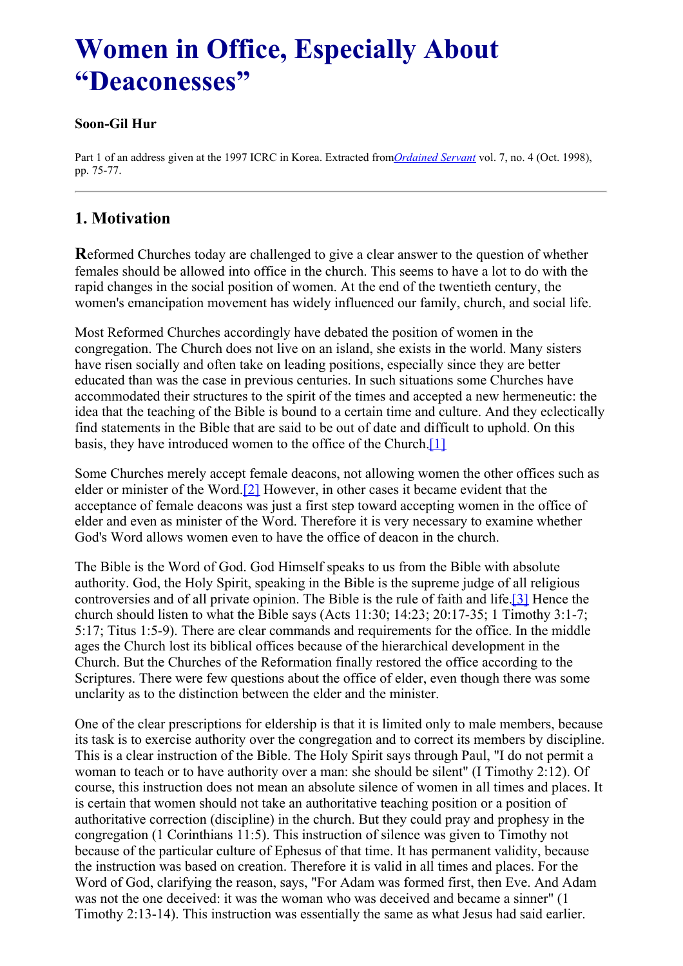# <span id="page-0-0"></span>**Women in Office, Especially About "Deaconesses"**

#### **Soon-Gil Hur**

Part 1 of an address given at the 1997 ICRC in Korea. Extracted from*[Ordained](../../Ordained_servant.html) Servant* vol. 7, no. 4 (Oct. 1998), pp. 75-77.

### **1. Motivation**

**R**eformed Churches today are challenged to give a clear answer to the question of whether females should be allowed into office in the church. This seems to have a lot to do with the rapid changes in the social position of women. At the end of the twentieth century, the women's emancipation movement has widely influenced our family, church, and social life.

Most Reformed Churches accordingly have debated the position of women in the congregation. The Church does not live on an island, she exists in the world. Many sisters have risen socially and often take on leading positions, especially since they are better educated than was the case in previous centuries. In such situations some Churches have accommodated their structures to the spirit of the times and accepted a new hermeneutic: the idea that the teaching of the Bible is bound to a certain time and culture. And they eclectically find statements in the Bible that are said to be out of date and difficult to uphold. On this basis, they have introduced women to the office of the Church[.\[1\]](#page-0-0)

<span id="page-0-2"></span><span id="page-0-1"></span>Some Churches merely accept female deacons, not allowing women the other offices such as elder or minister of the Word.[\[2\]](#page-0-0) However, in other cases it became evident that the acceptance of female deacons was just a first step toward accepting women in the office of elder and even as minister of the Word. Therefore it is very necessary to examine whether God's Word allows women even to have the office of deacon in the church.

<span id="page-0-3"></span>The Bible is the Word of God. God Himself speaks to us from the Bible with absolute authority. God, the Holy Spirit, speaking in the Bible is the supreme judge of all religious controversies and of all private opinion. The Bible is the rule of faith and life[.\[3\]](#page-0-0) Hence the church should listen to what the Bible says (Acts 11:30; 14:23; 20:17-35; 1 Timothy 3:1-7; 5:17; Titus 1:5-9). There are clear commands and requirements for the office. In the middle ages the Church lost its biblical offices because of the hierarchical development in the Church. But the Churches of the Reformation finally restored the office according to the Scriptures. There were few questions about the office of elder, even though there was some unclarity as to the distinction between the elder and the minister.

One of the clear prescriptions for eldership is that it is limited only to male members, because its task is to exercise authority over the congregation and to correct its members by discipline. This is a clear instruction of the Bible. The Holy Spirit says through Paul, "I do not permit a woman to teach or to have authority over a man: she should be silent" (I Timothy 2:12). Of course, this instruction does not mean an absolute silence of women in all times and places. It is certain that women should not take an authoritative teaching position or a position of authoritative correction (discipline) in the church. But they could pray and prophesy in the congregation (1 Corinthians 11:5). This instruction of silence was given to Timothy not because of the particular culture of Ephesus of that time. It has permanent validity, because the instruction was based on creation. Therefore it is valid in all times and places. For the Word of God, clarifying the reason, says, "For Adam was formed first, then Eve. And Adam was not the one deceived: it was the woman who was deceived and became a sinner" (1 Timothy 2:13-14). This instruction was essentially the same as what Jesus had said earlier.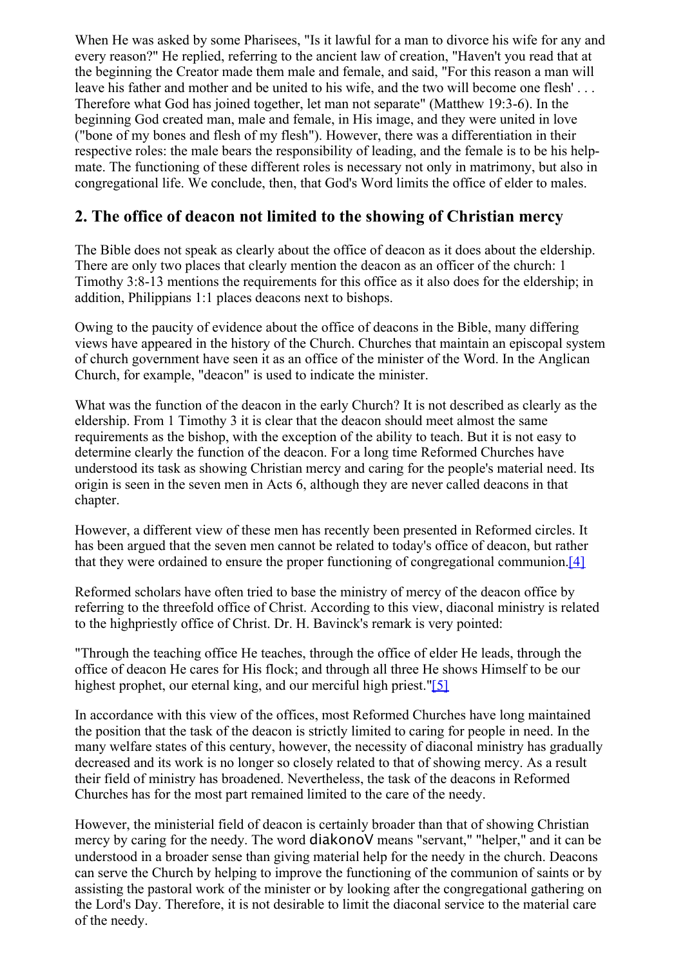When He was asked by some Pharisees, "Is it lawful for a man to divorce his wife for any and every reason?" He replied, referring to the ancient law of creation, "Haven't you read that at the beginning the Creator made them male and female, and said, "For this reason a man will leave his father and mother and be united to his wife, and the two will become one flesh' . . . Therefore what God has joined together, let man not separate" (Matthew 19:3-6). In the beginning God created man, male and female, in His image, and they were united in love ("bone of my bones and flesh of my flesh"). However, there was a differentiation in their respective roles: the male bears the responsibility of leading, and the female is to be his helpmate. The functioning of these different roles is necessary not only in matrimony, but also in congregational life. We conclude, then, that God's Word limits the office of elder to males.

## **2. The office of deacon not limited to the showing of Christian mercy**

The Bible does not speak as clearly about the office of deacon as it does about the eldership. There are only two places that clearly mention the deacon as an officer of the church: 1 Timothy 3:8-13 mentions the requirements for this office as it also does for the eldership; in addition, Philippians 1:1 places deacons next to bishops.

Owing to the paucity of evidence about the office of deacons in the Bible, many differing views have appeared in the history of the Church. Churches that maintain an episcopal system of church government have seen it as an office of the minister of the Word. In the Anglican Church, for example, "deacon" is used to indicate the minister.

What was the function of the deacon in the early Church? It is not described as clearly as the eldership. From 1 Timothy 3 it is clear that the deacon should meet almost the same requirements as the bishop, with the exception of the ability to teach. But it is not easy to determine clearly the function of the deacon. For a long time Reformed Churches have understood its task as showing Christian mercy and caring for the people's material need. Its origin is seen in the seven men in Acts 6, although they are never called deacons in that chapter.

However, a different view of these men has recently been presented in Reformed circles. It has been argued that the seven men cannot be related to today's office of deacon, but rather that they were ordained to ensure the proper functioning of congregational communion[.\[4\]](#page-0-0)

<span id="page-1-0"></span>Reformed scholars have often tried to base the ministry of mercy of the deacon office by referring to the threefold office of Christ. According to this view, diaconal ministry is related to the highpriestly office of Christ. Dr. H. Bavinck's remark is very pointed:

<span id="page-1-1"></span>"Through the teaching office He teaches, through the office of elder He leads, through the office of deacon He cares for His flock; and through all three He shows Himself to be our highest prophet, our eternal king, and our merciful high priest.["\[5\]](#page-0-0)

In accordance with this view of the offices, most Reformed Churches have long maintained the position that the task of the deacon is strictly limited to caring for people in need. In the many welfare states of this century, however, the necessity of diaconal ministry has gradually decreased and its work is no longer so closely related to that of showing mercy. As a result their field of ministry has broadened. Nevertheless, the task of the deacons in Reformed Churches has for the most part remained limited to the care of the needy.

However, the ministerial field of deacon is certainly broader than that of showing Christian mercy by caring for the needy. The word diakonoV means "servant," "helper," and it can be understood in a broader sense than giving material help for the needy in the church. Deacons can serve the Church by helping to improve the functioning of the communion of saints or by assisting the pastoral work of the minister or by looking after the congregational gathering on the Lord's Day. Therefore, it is not desirable to limit the diaconal service to the material care of the needy.